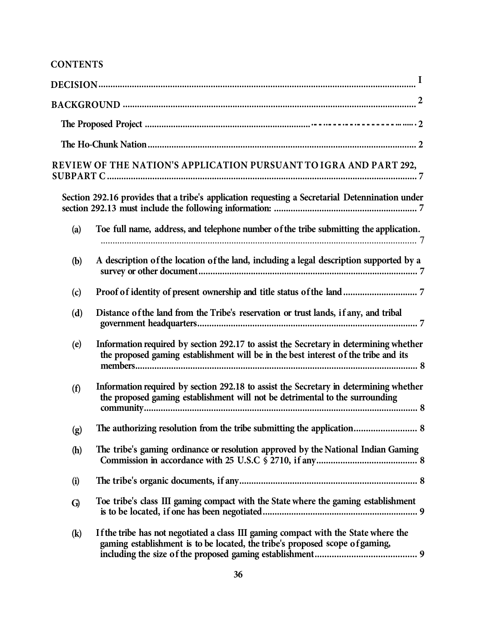## **CONTENTS**

|                            | $\bf{I}$                                                                                                                                                                     |
|----------------------------|------------------------------------------------------------------------------------------------------------------------------------------------------------------------------|
|                            |                                                                                                                                                                              |
|                            |                                                                                                                                                                              |
|                            |                                                                                                                                                                              |
|                            | REVIEW OF THE NATION'S APPLICATION PURSUANT TO IGRA AND PART 292,                                                                                                            |
|                            | Section 292.16 provides that a tribe's application requesting a Secretarial Detennination under                                                                              |
| (a)                        | Toe full name, address, and telephone number of the tribe submitting the application.                                                                                        |
| (b)                        | A description of the location of the land, including a legal description supported by a                                                                                      |
| (c)                        |                                                                                                                                                                              |
| (d)                        | Distance of the land from the Tribe's reservation or trust lands, if any, and tribal                                                                                         |
| (e)                        | Information required by section 292.17 to assist the Secretary in determining whether<br>the proposed gaming establishment will be in the best interest of the tribe and its |
| (f)                        | Information required by section 292.18 to assist the Secretary in determining whether<br>the proposed gaming establishment will not be detrimental to the surrounding        |
| (g)                        | The authorizing resolution from the tribe submitting the application 8                                                                                                       |
| (h)                        | The tribe's gaming ordinance or resolution approved by the National Indian Gaming                                                                                            |
| (i)                        |                                                                                                                                                                              |
| G)                         | Toe tribe's class III gaming compact with the State where the gaming establishment                                                                                           |
| $\left( \mathbf{k}\right)$ | If the tribe has not negotiated a class III gaming compact with the State where the<br>gaming establishment is to be located, the tribe's proposed scope of gaming,          |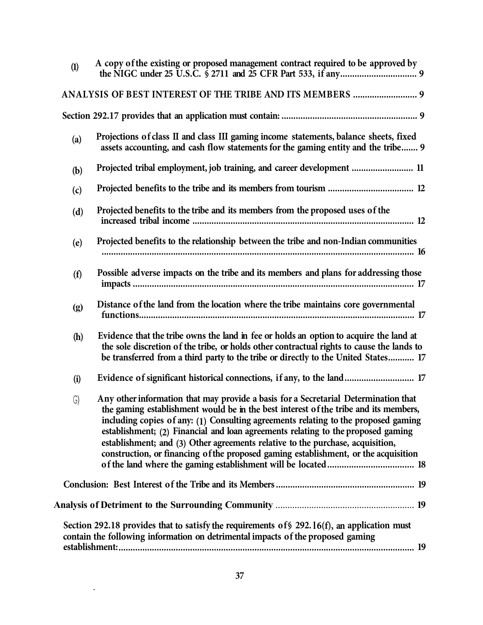| (1)          | A copy of the existing or proposed management contract required to be approved by                                                                                                                                                                                                                                                                                                                                                                                                                                              |
|--------------|--------------------------------------------------------------------------------------------------------------------------------------------------------------------------------------------------------------------------------------------------------------------------------------------------------------------------------------------------------------------------------------------------------------------------------------------------------------------------------------------------------------------------------|
|              | ANALYSIS OF BEST INTEREST OF THE TRIBE AND ITS MEMBERS  9                                                                                                                                                                                                                                                                                                                                                                                                                                                                      |
|              |                                                                                                                                                                                                                                                                                                                                                                                                                                                                                                                                |
| (a)          | Projections of class II and class III gaming income statements, balance sheets, fixed<br>assets accounting, and cash flow statements for the gaming entity and the tribe 9                                                                                                                                                                                                                                                                                                                                                     |
| (b)          | Projected tribal employment, job training, and career development  11                                                                                                                                                                                                                                                                                                                                                                                                                                                          |
| (c)          |                                                                                                                                                                                                                                                                                                                                                                                                                                                                                                                                |
| (d)          | Projected benefits to the tribe and its members from the proposed uses of the                                                                                                                                                                                                                                                                                                                                                                                                                                                  |
| (e)          | Projected benefits to the relationship between the tribe and non-Indian communities                                                                                                                                                                                                                                                                                                                                                                                                                                            |
| (f)          | Possible adverse impacts on the tribe and its members and plans for addressing those                                                                                                                                                                                                                                                                                                                                                                                                                                           |
| (g)          | Distance of the land from the location where the tribe maintains core governmental                                                                                                                                                                                                                                                                                                                                                                                                                                             |
| (h)          | Evidence that the tribe owns the land in fee or holds an option to acquire the land at<br>the sole discretion of the tribe, or holds other contractual rights to cause the lands to<br>be transferred from a third party to the tribe or directly to the United States 17                                                                                                                                                                                                                                                      |
| (i)          | Evidence of significant historical connections, if any, to the land 17                                                                                                                                                                                                                                                                                                                                                                                                                                                         |
| $\mathsf{G}$ | Any other information that may provide a basis for a Secretarial Determination that<br>the gaming establishment would be in the best interest of the tribe and its members,<br>including copies of any: (1) Consulting agreements relating to the proposed gaming<br>establishment; (2) Financial and loan agreements relating to the proposed gaming<br>establishment; and (3) Other agreements relative to the purchase, acquisition,<br>construction, or financing of the proposed gaming establishment, or the acquisition |
|              |                                                                                                                                                                                                                                                                                                                                                                                                                                                                                                                                |
|              |                                                                                                                                                                                                                                                                                                                                                                                                                                                                                                                                |
|              | Section 292.18 provides that to satisfy the requirements of $\$$ 292.16(f), an application must<br>contain the following information on detrimental impacts of the proposed gaming                                                                                                                                                                                                                                                                                                                                             |

 $\sim 10^{-1}$